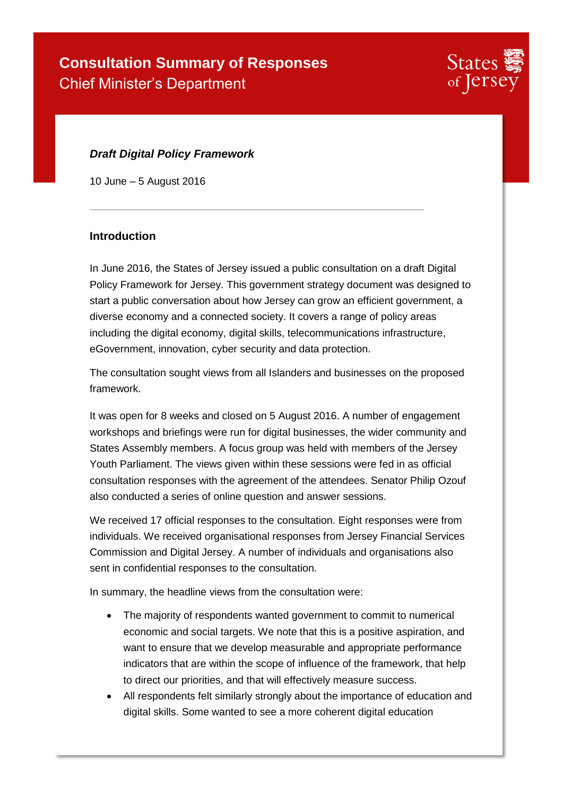

### *Draft Digital Policy Framework*

10 June – 5 August 2016

#### **Introduction**

In June 2016, the States of Jersey issued a public consultation on a draft Digital Policy Framework for Jersey. This government strategy document was designed to start a public conversation about how Jersey can grow an efficient government, a diverse economy and a connected society. It covers a range of policy areas including the digital economy, digital skills, telecommunications infrastructure, eGovernment, innovation, cyber security and data protection.

The consultation sought views from all Islanders and businesses on the proposed framework.

It was open for 8 weeks and closed on 5 August 2016. A number of engagement workshops and briefings were run for digital businesses, the wider community and States Assembly members. A focus group was held with members of the Jersey Youth Parliament. The views given within these sessions were fed in as official consultation responses with the agreement of the attendees. Senator Philip Ozouf also conducted a series of online question and answer sessions.

We received 17 official responses to the consultation. Eight responses were from individuals. We received organisational responses from Jersey Financial Services Commission and Digital Jersey. A number of individuals and organisations also sent in confidential responses to the consultation.

In summary, the headline views from the consultation were:

- The majority of respondents wanted government to commit to numerical economic and social targets. We note that this is a positive aspiration, and want to ensure that we develop measurable and appropriate performance indicators that are within the scope of influence of the framework, that help to direct our priorities, and that will effectively measure success.
- All respondents felt similarly strongly about the importance of education and digital skills. Some wanted to see a more coherent digital education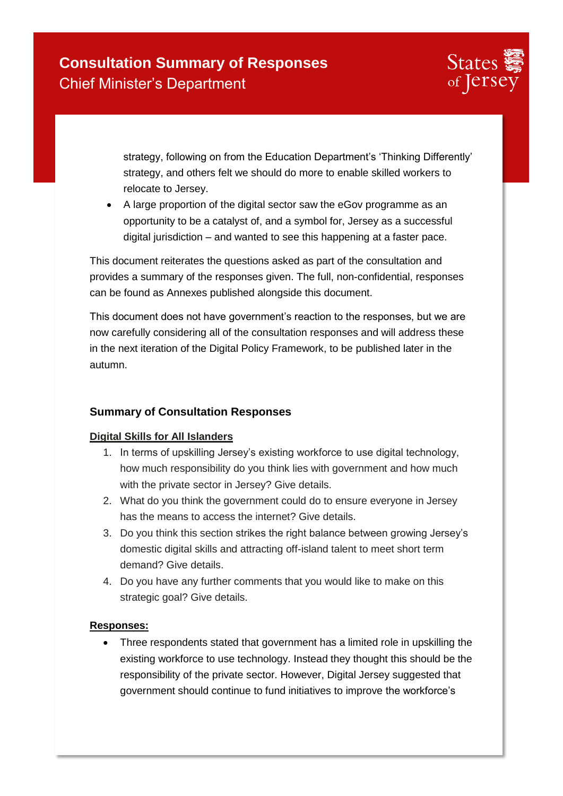

strategy, following on from the Education Department's 'Thinking Differently' strategy, and others felt we should do more to enable skilled workers to relocate to Jersey.

 A large proportion of the digital sector saw the eGov programme as an opportunity to be a catalyst of, and a symbol for, Jersey as a successful digital jurisdiction – and wanted to see this happening at a faster pace.

This document reiterates the questions asked as part of the consultation and provides a summary of the responses given. The full, non-confidential, responses can be found as Annexes published alongside this document.

This document does not have government's reaction to the responses, but we are now carefully considering all of the consultation responses and will address these in the next iteration of the Digital Policy Framework, to be published later in the autumn.

### **Summary of Consultation Responses**

### **Digital Skills for All Islanders**

- 1. In terms of upskilling Jersey's existing workforce to use digital technology, how much responsibility do you think lies with government and how much with the private sector in Jersey? Give details.
- 2. What do you think the government could do to ensure everyone in Jersey has the means to access the internet? Give details.
- 3. Do you think this section strikes the right balance between growing Jersey's domestic digital skills and attracting off-island talent to meet short term demand? Give details.
- 4. Do you have any further comments that you would like to make on this strategic goal? Give details.

### **Responses:**

• Three respondents stated that government has a limited role in upskilling the existing workforce to use technology. Instead they thought this should be the responsibility of the private sector. However, Digital Jersey suggested that government should continue to fund initiatives to improve the workforce's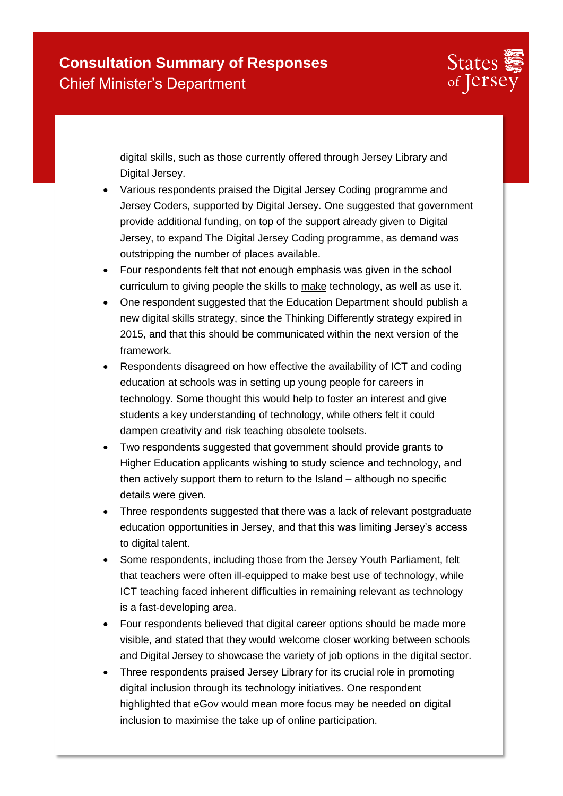

digital skills, such as those currently offered through Jersey Library and Digital Jersey.

- Various respondents praised the Digital Jersey Coding programme and Jersey Coders, supported by Digital Jersey. One suggested that government provide additional funding, on top of the support already given to Digital Jersey, to expand The Digital Jersey Coding programme, as demand was outstripping the number of places available.
- Four respondents felt that not enough emphasis was given in the school curriculum to giving people the skills to make technology, as well as use it.
- One respondent suggested that the Education Department should publish a new digital skills strategy, since the Thinking Differently strategy expired in 2015, and that this should be communicated within the next version of the framework.
- Respondents disagreed on how effective the availability of ICT and coding education at schools was in setting up young people for careers in technology. Some thought this would help to foster an interest and give students a key understanding of technology, while others felt it could dampen creativity and risk teaching obsolete toolsets.
- Two respondents suggested that government should provide grants to Higher Education applicants wishing to study science and technology, and then actively support them to return to the Island – although no specific details were given.
- Three respondents suggested that there was a lack of relevant postgraduate education opportunities in Jersey, and that this was limiting Jersey's access to digital talent.
- Some respondents, including those from the Jersey Youth Parliament, felt that teachers were often ill-equipped to make best use of technology, while ICT teaching faced inherent difficulties in remaining relevant as technology is a fast-developing area.
- Four respondents believed that digital career options should be made more visible, and stated that they would welcome closer working between schools and Digital Jersey to showcase the variety of job options in the digital sector.
- Three respondents praised Jersey Library for its crucial role in promoting digital inclusion through its technology initiatives. One respondent highlighted that eGov would mean more focus may be needed on digital inclusion to maximise the take up of online participation.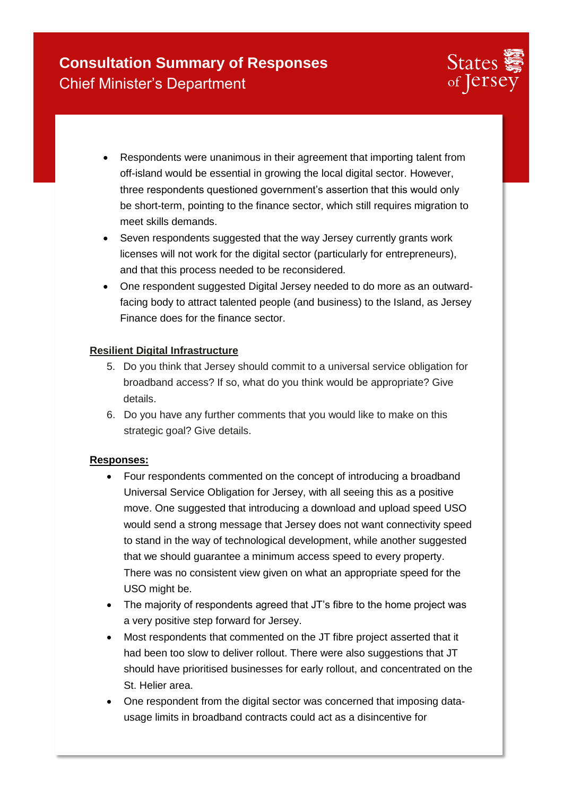

- Respondents were unanimous in their agreement that importing talent from off-island would be essential in growing the local digital sector. However, three respondents questioned government's assertion that this would only be short-term, pointing to the finance sector, which still requires migration to meet skills demands.
- Seven respondents suggested that the way Jersey currently grants work licenses will not work for the digital sector (particularly for entrepreneurs), and that this process needed to be reconsidered.
- One respondent suggested Digital Jersey needed to do more as an outwardfacing body to attract talented people (and business) to the Island, as Jersey Finance does for the finance sector.

### **Resilient Digital Infrastructure**

- 5. Do you think that Jersey should commit to a universal service obligation for broadband access? If so, what do you think would be appropriate? Give details.
- 6. Do you have any further comments that you would like to make on this strategic goal? Give details.

- Four respondents commented on the concept of introducing a broadband Universal Service Obligation for Jersey, with all seeing this as a positive move. One suggested that introducing a download and upload speed USO would send a strong message that Jersey does not want connectivity speed to stand in the way of technological development, while another suggested that we should guarantee a minimum access speed to every property. There was no consistent view given on what an appropriate speed for the USO might be.
- The majority of respondents agreed that JT's fibre to the home project was a very positive step forward for Jersey.
- Most respondents that commented on the JT fibre project asserted that it had been too slow to deliver rollout. There were also suggestions that JT should have prioritised businesses for early rollout, and concentrated on the St. Helier area.
- One respondent from the digital sector was concerned that imposing datausage limits in broadband contracts could act as a disincentive for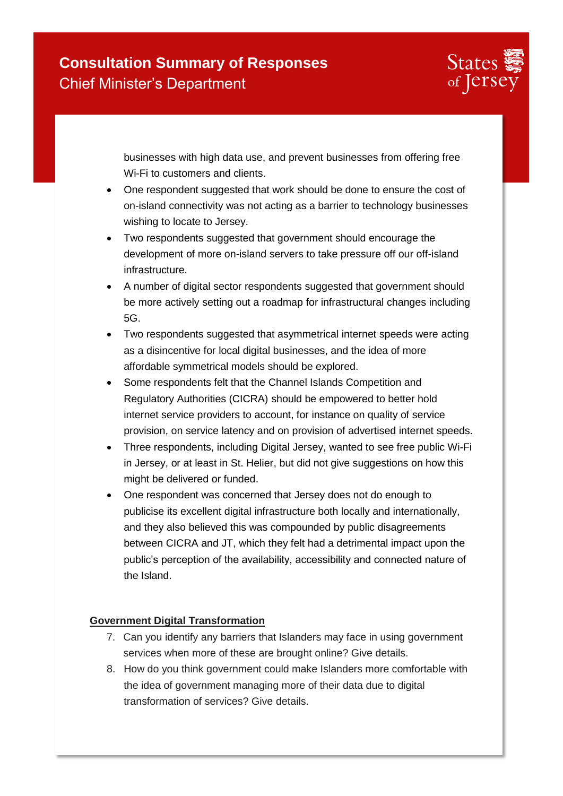

businesses with high data use, and prevent businesses from offering free Wi-Fi to customers and clients.

- One respondent suggested that work should be done to ensure the cost of on-island connectivity was not acting as a barrier to technology businesses wishing to locate to Jersey.
- Two respondents suggested that government should encourage the development of more on-island servers to take pressure off our off-island infrastructure.
- A number of digital sector respondents suggested that government should be more actively setting out a roadmap for infrastructural changes including 5G.
- Two respondents suggested that asymmetrical internet speeds were acting as a disincentive for local digital businesses, and the idea of more affordable symmetrical models should be explored.
- Some respondents felt that the Channel Islands Competition and Regulatory Authorities (CICRA) should be empowered to better hold internet service providers to account, for instance on quality of service provision, on service latency and on provision of advertised internet speeds.
- Three respondents, including Digital Jersey, wanted to see free public Wi-Fi in Jersey, or at least in St. Helier, but did not give suggestions on how this might be delivered or funded.
- One respondent was concerned that Jersey does not do enough to publicise its excellent digital infrastructure both locally and internationally, and they also believed this was compounded by public disagreements between CICRA and JT, which they felt had a detrimental impact upon the public's perception of the availability, accessibility and connected nature of the Island.

### **Government Digital Transformation**

- 7. Can you identify any barriers that Islanders may face in using government services when more of these are brought online? Give details.
- 8. How do you think government could make Islanders more comfortable with the idea of government managing more of their data due to digital transformation of services? Give details.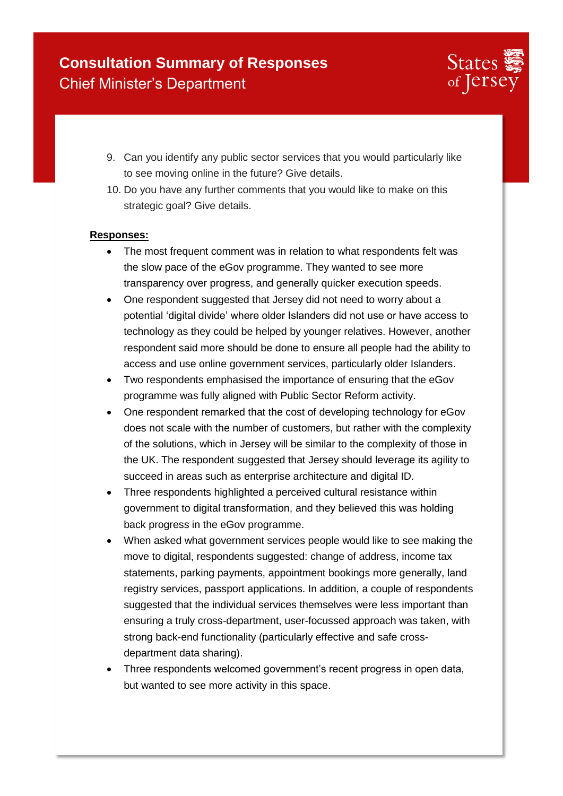

- 9. Can you identify any public sector services that you would particularly like to see moving online in the future? Give details.
- 10. Do you have any further comments that you would like to make on this strategic goal? Give details.

- The most frequent comment was in relation to what respondents felt was the slow pace of the eGov programme. They wanted to see more transparency over progress, and generally quicker execution speeds.
- One respondent suggested that Jersey did not need to worry about a potential 'digital divide' where older Islanders did not use or have access to technology as they could be helped by younger relatives. However, another respondent said more should be done to ensure all people had the ability to access and use online government services, particularly older Islanders.
- Two respondents emphasised the importance of ensuring that the eGov programme was fully aligned with Public Sector Reform activity.
- One respondent remarked that the cost of developing technology for eGov does not scale with the number of customers, but rather with the complexity of the solutions, which in Jersey will be similar to the complexity of those in the UK. The respondent suggested that Jersey should leverage its agility to succeed in areas such as enterprise architecture and digital ID.
- Three respondents highlighted a perceived cultural resistance within government to digital transformation, and they believed this was holding back progress in the eGov programme.
- When asked what government services people would like to see making the move to digital, respondents suggested: change of address, income tax statements, parking payments, appointment bookings more generally, land registry services, passport applications. In addition, a couple of respondents suggested that the individual services themselves were less important than ensuring a truly cross-department, user-focussed approach was taken, with strong back-end functionality (particularly effective and safe crossdepartment data sharing).
- Three respondents welcomed government's recent progress in open data, but wanted to see more activity in this space.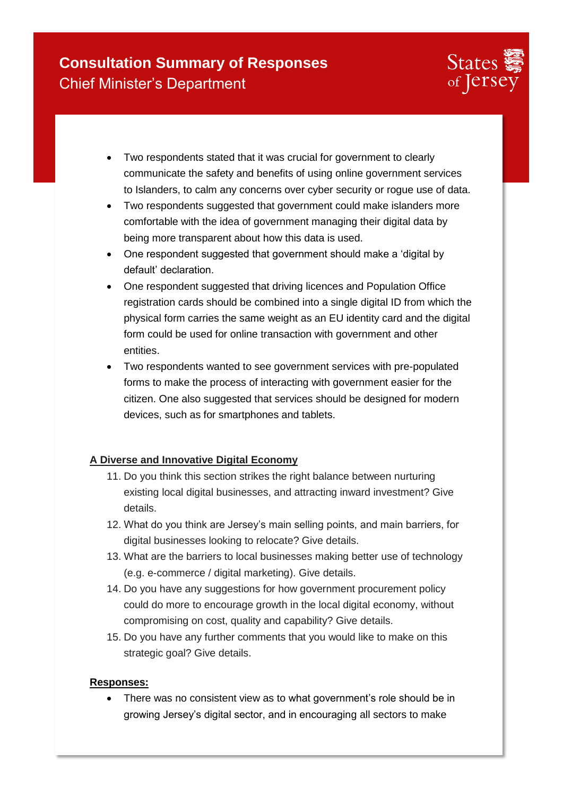

- Two respondents stated that it was crucial for government to clearly communicate the safety and benefits of using online government services to Islanders, to calm any concerns over cyber security or rogue use of data.
- Two respondents suggested that government could make islanders more comfortable with the idea of government managing their digital data by being more transparent about how this data is used.
- One respondent suggested that government should make a 'digital by default' declaration.
- One respondent suggested that driving licences and Population Office registration cards should be combined into a single digital ID from which the physical form carries the same weight as an EU identity card and the digital form could be used for online transaction with government and other entities.
- Two respondents wanted to see government services with pre-populated forms to make the process of interacting with government easier for the citizen. One also suggested that services should be designed for modern devices, such as for smartphones and tablets.

### **A Diverse and Innovative Digital Economy**

- 11. Do you think this section strikes the right balance between nurturing existing local digital businesses, and attracting inward investment? Give details.
- 12. What do you think are Jersey's main selling points, and main barriers, for digital businesses looking to relocate? Give details.
- 13. What are the barriers to local businesses making better use of technology (e.g. e-commerce / digital marketing). Give details.
- 14. Do you have any suggestions for how government procurement policy could do more to encourage growth in the local digital economy, without compromising on cost, quality and capability? Give details.
- 15. Do you have any further comments that you would like to make on this strategic goal? Give details.

### **Responses:**

• There was no consistent view as to what government's role should be in growing Jersey's digital sector, and in encouraging all sectors to make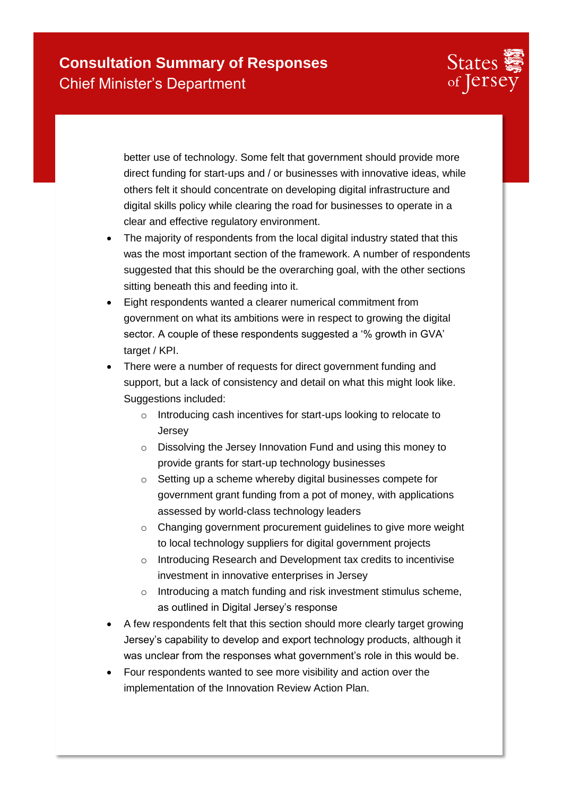

better use of technology. Some felt that government should provide more direct funding for start-ups and / or businesses with innovative ideas, while others felt it should concentrate on developing digital infrastructure and digital skills policy while clearing the road for businesses to operate in a clear and effective regulatory environment.

- The majority of respondents from the local digital industry stated that this was the most important section of the framework. A number of respondents suggested that this should be the overarching goal, with the other sections sitting beneath this and feeding into it.
- Eight respondents wanted a clearer numerical commitment from government on what its ambitions were in respect to growing the digital sector. A couple of these respondents suggested a '% growth in GVA' target / KPI.
- There were a number of requests for direct government funding and support, but a lack of consistency and detail on what this might look like. Suggestions included:
	- o Introducing cash incentives for start-ups looking to relocate to Jersey
	- o Dissolving the Jersey Innovation Fund and using this money to provide grants for start-up technology businesses
	- o Setting up a scheme whereby digital businesses compete for government grant funding from a pot of money, with applications assessed by world-class technology leaders
	- o Changing government procurement guidelines to give more weight to local technology suppliers for digital government projects
	- o Introducing Research and Development tax credits to incentivise investment in innovative enterprises in Jersey
	- o Introducing a match funding and risk investment stimulus scheme, as outlined in Digital Jersey's response
- A few respondents felt that this section should more clearly target growing Jersey's capability to develop and export technology products, although it was unclear from the responses what government's role in this would be.
- Four respondents wanted to see more visibility and action over the implementation of the Innovation Review Action Plan.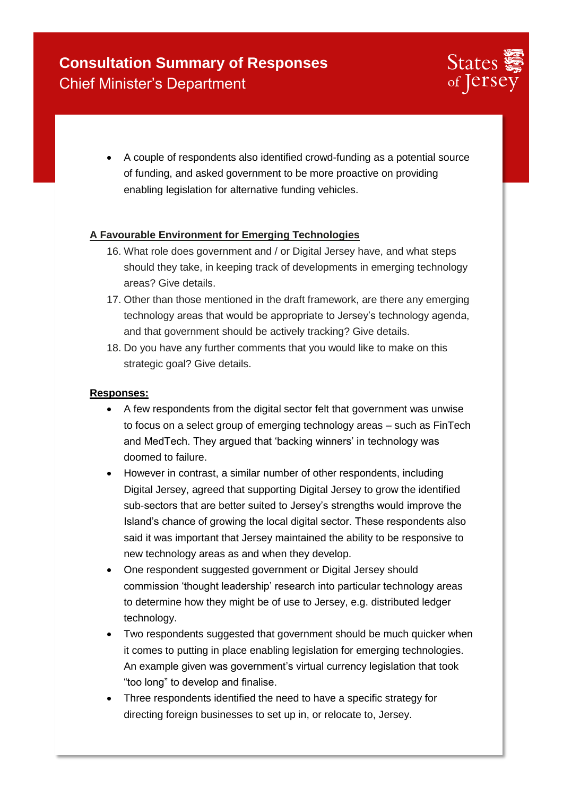

 A couple of respondents also identified crowd-funding as a potential source of funding, and asked government to be more proactive on providing enabling legislation for alternative funding vehicles.

### **A Favourable Environment for Emerging Technologies**

- 16. What role does government and / or Digital Jersey have, and what steps should they take, in keeping track of developments in emerging technology areas? Give details.
- 17. Other than those mentioned in the draft framework, are there any emerging technology areas that would be appropriate to Jersey's technology agenda, and that government should be actively tracking? Give details.
- 18. Do you have any further comments that you would like to make on this strategic goal? Give details.

- A few respondents from the digital sector felt that government was unwise to focus on a select group of emerging technology areas – such as FinTech and MedTech. They argued that 'backing winners' in technology was doomed to failure.
- However in contrast, a similar number of other respondents, including Digital Jersey, agreed that supporting Digital Jersey to grow the identified sub-sectors that are better suited to Jersey's strengths would improve the Island's chance of growing the local digital sector. These respondents also said it was important that Jersey maintained the ability to be responsive to new technology areas as and when they develop.
- One respondent suggested government or Digital Jersey should commission 'thought leadership' research into particular technology areas to determine how they might be of use to Jersey, e.g. distributed ledger technology.
- Two respondents suggested that government should be much quicker when it comes to putting in place enabling legislation for emerging technologies. An example given was government's virtual currency legislation that took "too long" to develop and finalise.
- Three respondents identified the need to have a specific strategy for directing foreign businesses to set up in, or relocate to, Jersey.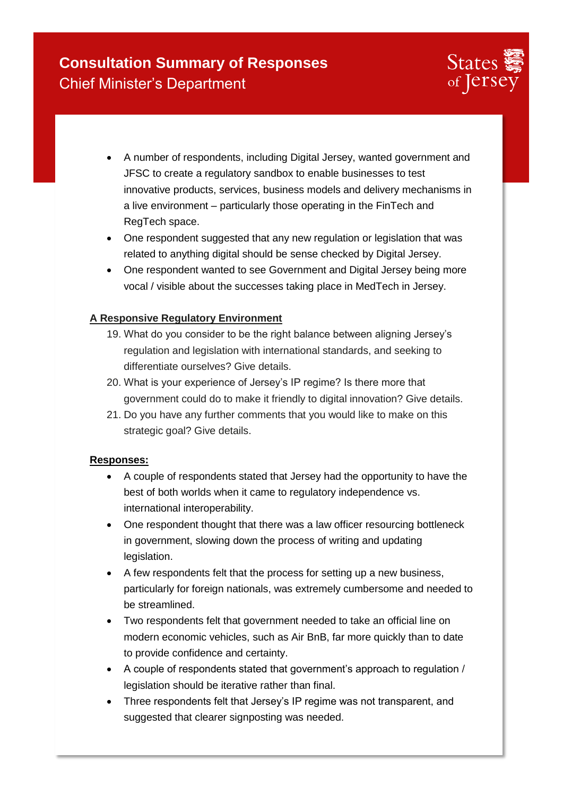

- A number of respondents, including Digital Jersey, wanted government and JFSC to create a regulatory sandbox to enable businesses to test innovative products, services, business models and delivery mechanisms in a live environment – particularly those operating in the FinTech and RegTech space.
- One respondent suggested that any new regulation or legislation that was related to anything digital should be sense checked by Digital Jersey.
- One respondent wanted to see Government and Digital Jersey being more vocal / visible about the successes taking place in MedTech in Jersey.

### **A Responsive Regulatory Environment**

- 19. What do you consider to be the right balance between aligning Jersey's regulation and legislation with international standards, and seeking to differentiate ourselves? Give details.
- 20. What is your experience of Jersey's IP regime? Is there more that government could do to make it friendly to digital innovation? Give details.
- 21. Do you have any further comments that you would like to make on this strategic goal? Give details.

- A couple of respondents stated that Jersey had the opportunity to have the best of both worlds when it came to regulatory independence vs. international interoperability.
- One respondent thought that there was a law officer resourcing bottleneck in government, slowing down the process of writing and updating legislation.
- A few respondents felt that the process for setting up a new business, particularly for foreign nationals, was extremely cumbersome and needed to be streamlined.
- Two respondents felt that government needed to take an official line on modern economic vehicles, such as Air BnB, far more quickly than to date to provide confidence and certainty.
- A couple of respondents stated that government's approach to regulation / legislation should be iterative rather than final.
- Three respondents felt that Jersey's IP regime was not transparent, and suggested that clearer signposting was needed.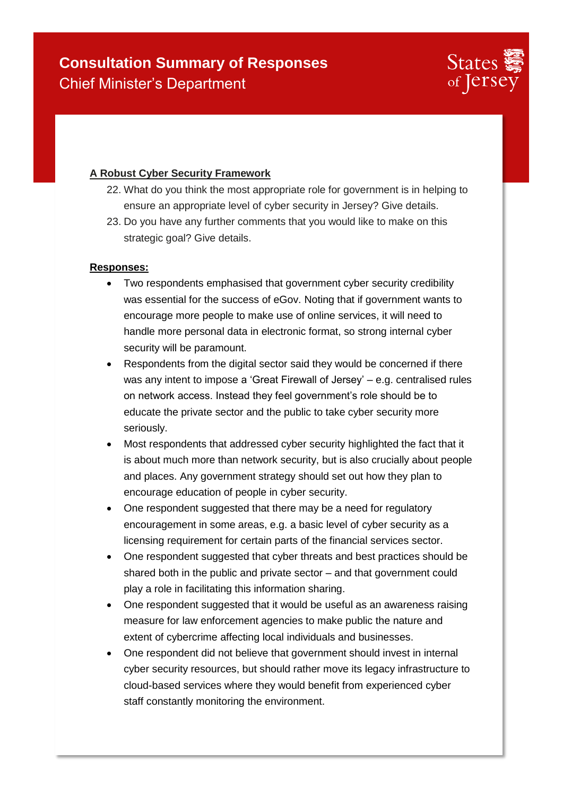

### **A Robust Cyber Security Framework**

- 22. What do you think the most appropriate role for government is in helping to ensure an appropriate level of cyber security in Jersey? Give details.
- 23. Do you have any further comments that you would like to make on this strategic goal? Give details.

- Two respondents emphasised that government cyber security credibility was essential for the success of eGov. Noting that if government wants to encourage more people to make use of online services, it will need to handle more personal data in electronic format, so strong internal cyber security will be paramount.
- Respondents from the digital sector said they would be concerned if there was any intent to impose a 'Great Firewall of Jersey' – e.g. centralised rules on network access. Instead they feel government's role should be to educate the private sector and the public to take cyber security more seriously.
- Most respondents that addressed cyber security highlighted the fact that it is about much more than network security, but is also crucially about people and places. Any government strategy should set out how they plan to encourage education of people in cyber security.
- One respondent suggested that there may be a need for regulatory encouragement in some areas, e.g. a basic level of cyber security as a licensing requirement for certain parts of the financial services sector.
- One respondent suggested that cyber threats and best practices should be shared both in the public and private sector – and that government could play a role in facilitating this information sharing.
- One respondent suggested that it would be useful as an awareness raising measure for law enforcement agencies to make public the nature and extent of cybercrime affecting local individuals and businesses.
- One respondent did not believe that government should invest in internal cyber security resources, but should rather move its legacy infrastructure to cloud-based services where they would benefit from experienced cyber staff constantly monitoring the environment.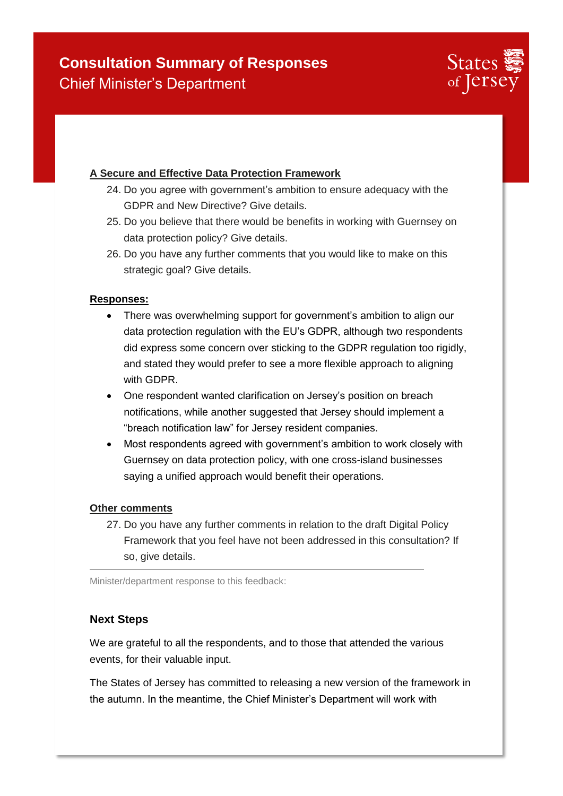

### **A Secure and Effective Data Protection Framework**

- 24. Do you agree with government's ambition to ensure adequacy with the GDPR and New Directive? Give details.
- 25. Do you believe that there would be benefits in working with Guernsey on data protection policy? Give details.
- 26. Do you have any further comments that you would like to make on this strategic goal? Give details.

#### **Responses:**

- There was overwhelming support for government's ambition to align our data protection regulation with the EU's GDPR, although two respondents did express some concern over sticking to the GDPR regulation too rigidly, and stated they would prefer to see a more flexible approach to aligning with GDPR.
- One respondent wanted clarification on Jersey's position on breach notifications, while another suggested that Jersey should implement a "breach notification law" for Jersey resident companies.
- Most respondents agreed with government's ambition to work closely with Guernsey on data protection policy, with one cross-island businesses saying a unified approach would benefit their operations.

#### **Other comments**

27. Do you have any further comments in relation to the draft Digital Policy Framework that you feel have not been addressed in this consultation? If so, give details.

Minister/department response to this feedback:

### **Next Steps**

We are grateful to all the respondents, and to those that attended the various events, for their valuable input.

The States of Jersey has committed to releasing a new version of the framework in the autumn. In the meantime, the Chief Minister's Department will work with